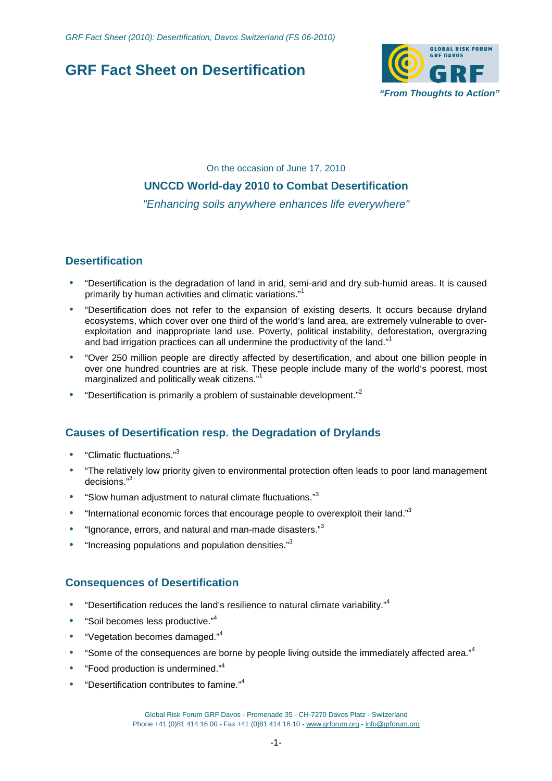# **GRF Fact Sheet on Desertification**



On the occasion of June 17, 2010 **UNCCD World-day 2010 to Combat Desertification**  "Enhancing soils anywhere enhances life everywhere"

## **Desertification**

- "Desertification is the degradation of land in arid, semi-arid and dry sub-humid areas. It is caused primarily by human activities and climatic variations."<sup>1</sup>
- "Desertification does not refer to the expansion of existing deserts. It occurs because dryland ecosystems, which cover over one third of the world's land area, are extremely vulnerable to overexploitation and inappropriate land use. Poverty, political instability, deforestation, overgrazing and bad irrigation practices can all undermine the productivity of the land."<sup>1</sup>
- "Over 250 million people are directly affected by desertification, and about one billion people in over one hundred countries are at risk. These people include many of the world's poorest, most marginalized and politically weak citizens."<sup>1</sup>
- "Desertification is primarily a problem of sustainable development."<sup>2</sup>

## **Causes of Desertification resp. the Degradation of Drylands**

- "Climatic fluctuations."<sup>3</sup>
- "The relatively low priority given to environmental protection often leads to poor land management decisions."<sup>3</sup>
- "Slow human adjustment to natural climate fluctuations."3
- "International economic forces that encourage people to overexploit their land." $3$
- "Ignorance, errors, and natural and man-made disasters."<sup>3</sup>
- "Increasing populations and population densities." $3$

## **Consequences of Desertification**

- "Desertification reduces the land's resilience to natural climate variability."<sup>4</sup>
- "Soil becomes less productive."<sup>4</sup>
- "Vegetation becomes damaged."<sup>4</sup>
- "Some of the consequences are borne by people living outside the immediately affected area."<sup>4</sup>
- "Food production is undermined."<sup>4</sup>
- "Desertification contributes to famine."<sup>4</sup>